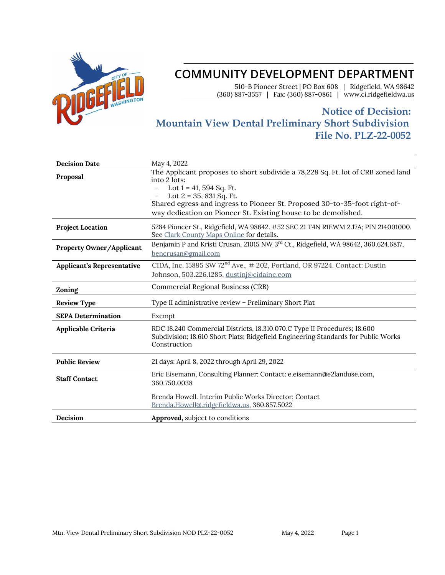

# **COMMUNITY DEVELOPMENT DEPARTMENT**

510-B Pioneer Street | PO Box 608 | Ridgefield, WA 98642 (360) 887-3557 | Fax: (360) 887-0861 | www.ci.ridgefieldwa.us

## **Notice of Decision: Mountain View Dental Preliminary Short Subdivision File No. PLZ-22-0052**

| <b>Decision Date</b>              | May 4, 2022                                                                                                                                                                                                                                                                                                |  |
|-----------------------------------|------------------------------------------------------------------------------------------------------------------------------------------------------------------------------------------------------------------------------------------------------------------------------------------------------------|--|
| Proposal                          | The Applicant proposes to short subdivide a 78,228 Sq. Ft. lot of CRB zoned land<br>into 2 lots:<br>Lot $1 = 41, 594$ Sq. Ft.<br>Lot $2 = 35$ , 831 Sq. Ft.<br>Shared egress and ingress to Pioneer St. Proposed 30-to-35-foot right-of-<br>way dedication on Pioneer St. Existing house to be demolished. |  |
| <b>Project Location</b>           | 5284 Pioneer St., Ridgefield, WA 98642. #52 SEC 21 T4N R1EWM 2.17A; PIN 214001000.<br>See Clark County Maps Online for details.                                                                                                                                                                            |  |
| <b>Property Owner/Applicant</b>   | Benjamin P and Kristi Crusan, 21015 NW 3rd Ct., Ridgefield, WA 98642, 360.624.6817,<br>bencrusan@gmail.com                                                                                                                                                                                                 |  |
| <b>Applicant's Representative</b> | CIDA, Inc. 15895 SW 72 <sup>nd</sup> Ave., # 202, Portland, OR 97224. Contact: Dustin<br>Johnson, 503.226.1285, dustinj@cidainc.com                                                                                                                                                                        |  |
| Zoning                            | Commercial Regional Business (CRB)                                                                                                                                                                                                                                                                         |  |
| <b>Review Type</b>                | Type II administrative review - Preliminary Short Plat                                                                                                                                                                                                                                                     |  |
| <b>SEPA Determination</b>         | Exempt                                                                                                                                                                                                                                                                                                     |  |
| Applicable Criteria               | RDC 18.240 Commercial Districts, 18.310.070.C Type II Procedures; 18.600<br>Subdivision; 18.610 Short Plats; Ridgefield Engineering Standards for Public Works<br>Construction                                                                                                                             |  |
| <b>Public Review</b>              | 21 days: April 8, 2022 through April 29, 2022                                                                                                                                                                                                                                                              |  |
| <b>Staff Contact</b>              | Eric Eisemann, Consulting Planner: Contact: e.eisemann@e2landuse.com,<br>360.750.0038                                                                                                                                                                                                                      |  |
|                                   | Brenda Howell. Interim Public Works Director; Contact<br>Brenda.Howell@.ridgefieldwa.us, 360.857.5022                                                                                                                                                                                                      |  |
| Decision                          | <b>Approved,</b> subject to conditions                                                                                                                                                                                                                                                                     |  |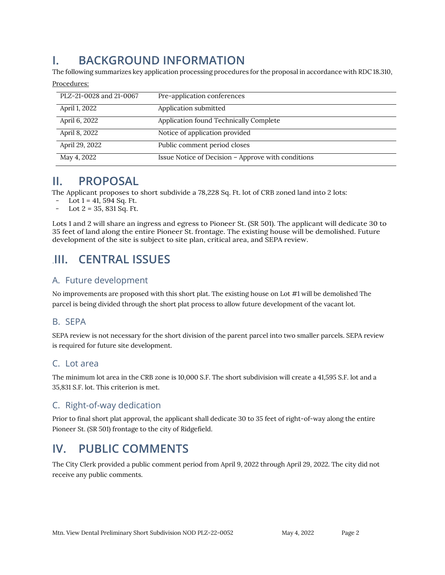# **I. BACKGROUND INFORMATION**

The following summarizes key application processing procedures for the proposal in accordance with RDC 18.310,

| PLZ-21-0028 and 21-0067 | Pre-application conferences                        |
|-------------------------|----------------------------------------------------|
|                         |                                                    |
| April 1, 2022           | Application submitted                              |
|                         |                                                    |
| April 6, 2022           | Application found Technically Complete             |
|                         |                                                    |
| April 8, 2022           | Notice of application provided                     |
|                         |                                                    |
| April 29, 2022          | Public comment period closes                       |
|                         |                                                    |
| May 4, 2022             | Issue Notice of Decision - Approve with conditions |

## **II. PROPOSAL**

Procedures:

The Applicant proposes to short subdivide a 78,228 Sq. Ft. lot of CRB zoned land into 2 lots:

- Lot  $1 = 41,594$  Sq. Ft.
- Lot  $2 = 35$ , 831 Sq. Ft.

Lots 1 and 2 will share an ingress and egress to Pioneer St. (SR 501). The applicant will dedicate 30 to 35 feet of land along the entire Pioneer St. frontage. The existing house will be demolished. Future development of the site is subject to site plan, critical area, and SEPA review.

# .**III. CENTRAL ISSUES**

## A. Future development

No improvements are proposed with this short plat. The existing house on Lot #1 will be demolished The parcel is being divided through the short plat process to allow future development of the vacant lot.

## B. SEPA

SEPA review is not necessary for the short division of the parent parcel into two smaller parcels. SEPA review is required for future site development.

## C. Lot area

The minimum lot area in the CRB zone is 10,000 S.F. The short subdivision will create a 41,595 S.F. lot and a 35,831 S.F. lot. This criterion is met.

## C. Right-of-way dedication

Prior to final short plat approval, the applicant shall dedicate 30 to 35 feet of right-of-way along the entire Pioneer St. (SR 501) frontage to the city of Ridgefield.

# **IV. PUBLIC COMMENTS**

The City Clerk provided a public comment period from April 9, 2022 through April 29, 2022. The city did not receive any public comments.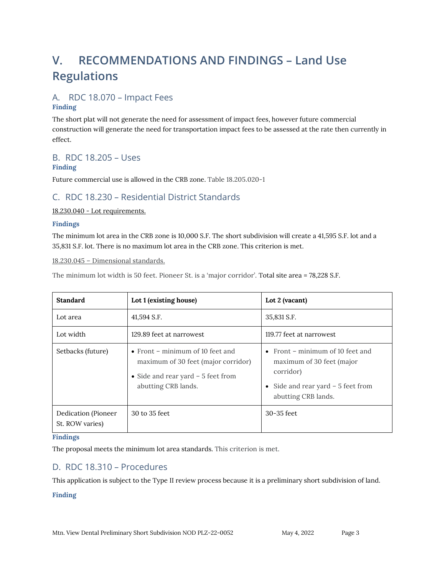# **V. RECOMMENDATIONS AND FINDINGS – Land Use Regulations**

## A. RDC 18.070 – Impact Fees

#### **Finding**

The short plat will not generate the need for assessment of impact fees, however future commercial construction will generate the need for transportation impact fees to be assessed at the rate then currently in effect.

## B. RDC 18.205 – Uses

#### **Finding**

Future commercial use is allowed in the CRB zone. Table 18.205.020-1

## C. RDC 18.230 – Residential District Standards

#### 18.230.040 - Lot requirements.

#### **Findings**

The minimum lot area in the CRB zone is 10,000 S.F. The short subdivision will create a 41,595 S.F. lot and a 35,831 S.F. lot. There is no maximum lot area in the CRB zone. This criterion is met.

#### 18.230.045 – Dimensional standards.

The minimum lot width is 50 feet. Pioneer St. is a 'major corridor'. Total site area = 78,228 S.F.

| <b>Standard</b>                        | Lot 1 (existing house)                                                                                                                        | Lot 2 (vacant)                                                                                                                                    |
|----------------------------------------|-----------------------------------------------------------------------------------------------------------------------------------------------|---------------------------------------------------------------------------------------------------------------------------------------------------|
| Lot area                               | 41,594 S.F.                                                                                                                                   | 35,831 S.F.                                                                                                                                       |
| Lot width                              | 129.89 feet at narrowest                                                                                                                      | 119.77 feet at narrowest                                                                                                                          |
| Setbacks (future)                      | $\bullet$ Front – minimum of 10 feet and<br>maximum of 30 feet (major corridor)<br>• Side and rear yard $-5$ feet from<br>abutting CRB lands. | Front – minimum of 10 feet and<br>$\bullet$<br>maximum of 30 feet (major<br>corridor)<br>Side and rear yard $-5$ feet from<br>abutting CRB lands. |
| Dedication (Pioneer<br>St. ROW varies) | 30 to 35 feet                                                                                                                                 | $30-35$ feet                                                                                                                                      |

#### **Findings**

The proposal meets the minimum lot area standards. This criterion is met.

## D. RDC 18.310 – Procedures

This application is subject to the Type II review process because it is a preliminary short subdivision of land.

#### **Finding**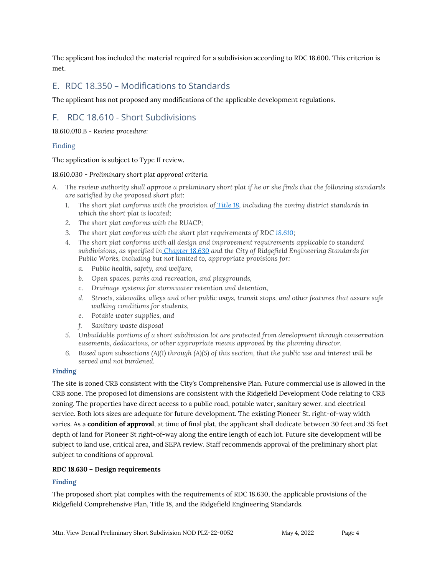The applicant has included the material required for a subdivision according to RDC 18.600. This criterion is met.

### E. RDC 18.350 – Modifications to Standards

The applicant has not proposed any modifications of the applicable development regulations.

## F. RDC 18.610 - Short Subdivisions

*18.610.010.B - Review procedure:* 

#### Finding

The application is subject to Type II review.

#### *18.610.030 - Preliminary short plat approval criteria.*

- *A. The review authority shall approve a preliminary short plat if he or she finds that the following standards are satisfied by the proposed short plat:*
	- *1. The short plat conforms with the provision of [Title 18,](https://library.municode.com/wa/ridgefield/codes/code_of_ordinances?nodeId=CO_TIT18DECO) including the zoning district standards in which the short plat is located;*
	- *2. The short plat conforms with the RUACP;*
	- 3. The short plat conforms with the short plat requirements of RDC [18.610;](https://library.municode.com/wa/ridgefield/codes/code_of_ordinances?nodeId=CO_TIT18DECO_CH18.610SHPL)
	- *4. The short plat conforms with all design and improvement requirements applicable to standard subdivisions, as specified in [Chapter 18.630](https://library.municode.com/wa/ridgefield/codes/code_of_ordinances?nodeId=CO_TIT18DECO_CH18.630DERE) and the City of Ridgefield Engineering Standards for Public Works, including but not limited to, appropriate provisions for:*
		- *a. Public health, safety, and welfare,*
		- *b. Open spaces, parks and recreation, and playgrounds,*
		- *c. Drainage systems for stormwater retention and detention,*
		- *d. Streets, sidewalks, alleys and other public ways, transit stops, and other features that assure safe walking conditions for students,*
		- *e. Potable water supplies, and*
		- *f. Sanitary waste disposal*
	- *5. Unbuildable portions of a short subdivision lot are protected from development through conservation easements, dedications, or other appropriate means approved by the planning director.*
	- *6. Based upon subsections (A)(1) through (A)(5) of this section, that the public use and interest will be served and not burdened.*

#### **Finding**

The site is zoned CRB consistent with the City's Comprehensive Plan. Future commercial use is allowed in the CRB zone. The proposed lot dimensions are consistent with the Ridgefield Development Code relating to CRB zoning. The properties have direct access to a public road, potable water, sanitary sewer, and electrical service. Both lots sizes are adequate for future development. The existing Pioneer St. right-of-way width varies. As a **condition of approval**, at time of final plat, the applicant shall dedicate between 30 feet and 35 feet depth of land for Pioneer St right-of-way along the entire length of each lot. Future site development will be subject to land use, critical area, and SEPA review. Staff recommends approval of the preliminary short plat subject to conditions of approval.

#### **RDC 18.630 – Design requirements**

#### **Finding**

The proposed short plat complies with the requirements of RDC 18.630, the applicable provisions of the Ridgefield Comprehensive Plan, Title 18, and the Ridgefield Engineering Standards.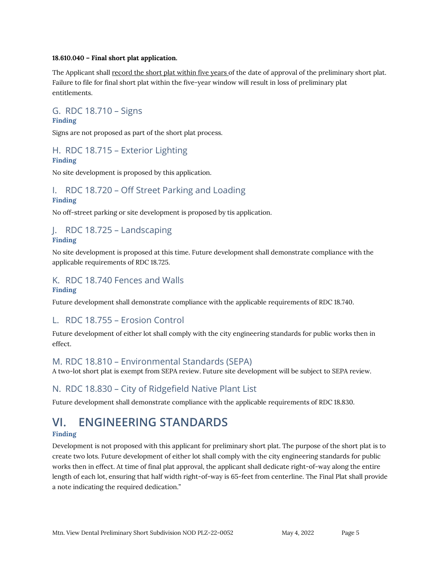#### **18.610.040 – Final short plat application.**

The Applicant shall record the short plat within five years of the date of approval of the preliminary short plat. Failure to file for final short plat within the five-year window will result in loss of preliminary plat entitlements.

#### G. RDC 18.710 – Signs **Finding**

Signs are not proposed as part of the short plat process.

## H. RDC 18.715 – Exterior Lighting **Finding**

No site development is proposed by this application.

#### I. RDC 18.720 – Off Street Parking and Loading **Finding**

No off-street parking or site development is proposed by tis application.

## J. RDC 18.725 – Landscaping **Finding**

No site development is proposed at this time. Future development shall demonstrate compliance with the applicable requirements of RDC 18.725.

### K. RDC 18.740 Fences and Walls **Finding**

Future development shall demonstrate compliance with the applicable requirements of RDC 18.740.

## L. RDC 18.755 – Erosion Control

Future development of either lot shall comply with the city engineering standards for public works then in effect.

## M. RDC 18.810 – Environmental Standards (SEPA)

A two-lot short plat is exempt from SEPA review. Future site development will be subject to SEPA review.

## N. RDC 18.830 – City of Ridgefield Native Plant List

Future development shall demonstrate compliance with the applicable requirements of RDC 18.830.

# **VI. ENGINEERING STANDARDS**

## **Finding**

Development is not proposed with this applicant for preliminary short plat. The purpose of the short plat is to create two lots. Future development of either lot shall comply with the city engineering standards for public works then in effect. At time of final plat approval, the applicant shall dedicate right-of-way along the entire length of each lot, ensuring that half width right-of-way is 65-feet from centerline. The Final Plat shall provide a note indicating the required dedication."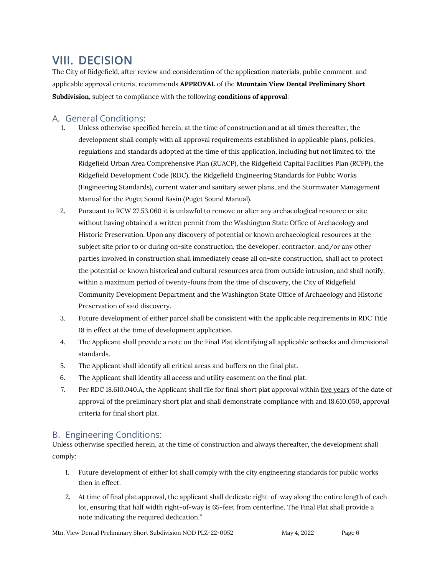# **VIII. DECISION**

The City of Ridgefield, after review and consideration of the application materials, public comment, and applicable approval criteria, recommends **APPROVAL** of the **Mountain View Dental Preliminary Short Subdivision,** subject to compliance with the following **conditions of approval**:

## A. General Conditions:

- 1. Unless otherwise specified herein, at the time of construction and at all times thereafter, the development shall comply with all approval requirements established in applicable plans, policies, regulations and standards adopted at the time of this application, including but not limited to, the Ridgefield Urban Area Comprehensive Plan (RUACP), the Ridgefield Capital Facilities Plan (RCFP), the Ridgefield Development Code (RDC), the Ridgefield Engineering Standards for Public Works (Engineering Standards), current water and sanitary sewer plans, and the Stormwater Management Manual for the Puget Sound Basin (Puget Sound Manual).
- 2. Pursuant to RCW 27.53.060 it is unlawful to remove or alter any archaeological resource or site without having obtained a written permit from the Washington State Office of Archaeology and Historic Preservation. Upon any discovery of potential or known archaeological resources at the subject site prior to or during on-site construction, the developer, contractor, and/or any other parties involved in construction shall immediately cease all on-site construction, shall act to protect the potential or known historical and cultural resources area from outside intrusion, and shall notify, within a maximum period of twenty-fours from the time of discovery, the City of Ridgefield Community Development Department and the Washington State Office of Archaeology and Historic Preservation of said discovery.
- 3. Future development of either parcel shall be consistent with the applicable requirements in RDC Title 18 in effect at the time of development application.
- 4. The Applicant shall provide a note on the Final Plat identifying all applicable setbacks and dimensional standards.
- 5. The Applicant shall identify all critical areas and buffers on the final plat.
- 6. The Applicant shall identity all access and utility easement on the final plat.
- 7. Per RDC 18.610.040.A, the Applicant shall file for final short plat approval within five years of the date of approval of the preliminary short plat and shall demonstrate compliance with and 18.610.050, approval criteria for final short plat.

## B. Engineering Conditions:

Unless otherwise specified herein, at the time of construction and always thereafter, the development shall comply:

- 1. Future development of either lot shall comply with the city engineering standards for public works then in effect.
- 2. At time of final plat approval, the applicant shall dedicate right-of-way along the entire length of each lot, ensuring that half width right-of-way is 65-feet from centerline. The Final Plat shall provide a note indicating the required dedication."

Mtn. View Dental Preliminary Short Subdivision NOD PLZ-22-0052 May 4, 2022 Page 6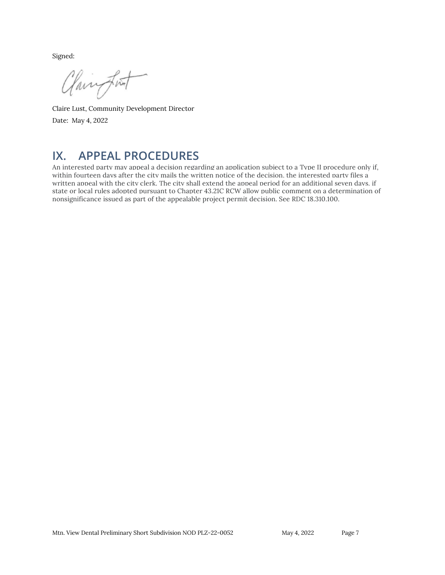Signed:

Claimport

Claire Lust, Community Development Director Date: May 4, 2022

## **IX. APPEAL PROCEDURES**

An interested party may appeal a decision regarding an application subject to a Type II procedure only if, within fourteen days after the city mails the written notice of the decision, the interested party files a written appeal with the city clerk. The city shall extend the appeal period for an additional seven days, if state or local rules adopted pursuant to Chapter 43.21C RCW allow public comment on a determination of nonsignificance issued as part of the appealable project permit decision. See RDC 18.310.100.